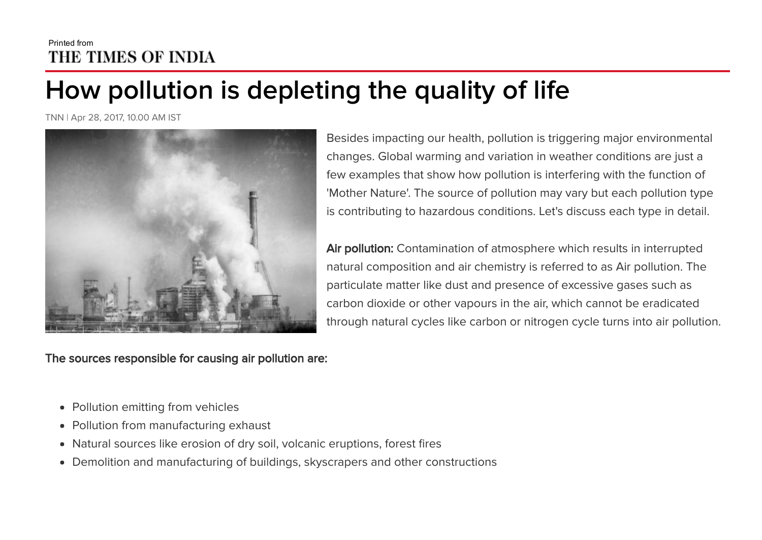# Printed from THE TIMES OF INDIA

# How pollution is depleting the quality of life

TNN | Apr 28, 2017, 10.00 AM IST



The sources responsible for causing air pollution are:

Besides impacting our health, pollution is triggering major environmental changes. Global warming and variation in weather conditions are just a few examples that show how pollution is interfering with the function of 'Mother Nature'. The source of pollution may vary but each pollution type is contributing to hazardous conditions. Let's discuss each type in detail.

Air pollution: Contamination of atmosphere which results in interrupted natural composition and air chemistry is referred to as Air pollution. The particulate matter like dust and presence of excessive gases such as carbon dioxide or other vapours in the air, which cannot be eradicated through natural cycles like carbon or nitrogen cycle turns into air pollution.

- Pollution emitting from vehicles
- Pollution from manufacturing exhaust
- Natural sources like erosion of dry soil, volcanic eruptions, forest fires
- Demolition and manufacturing of buildings, skyscrapers and other constructions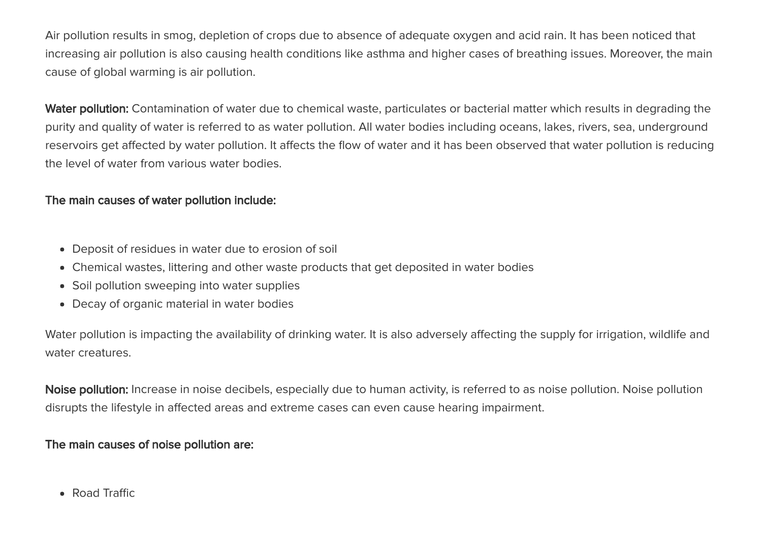Air pollution results in smog, depletion of crops due to absence of adequate oxygen and acid rain. It has been noticed that increasing air pollution is also causing health conditions like asthma and higher cases of breathing issues. Moreover, the main cause of global warming is air pollution.

Water pollution: Contamination of water due to chemical waste, particulates or bacterial matter which results in degrading the purity and quality of water is referred to as water pollution. All water bodies including oceans, lakes, rivers, sea, underground reservoirs get affected by water pollution. It affects the flow of water and it has been observed that water pollution is reducing the level of water from various water bodies.

#### The main causes of water pollution include:

- Deposit of residues in water due to erosion of soil
- Chemical wastes, littering and other waste products that get deposited in water bodies
- Soil pollution sweeping into water supplies
- Decay of organic material in water bodies

Water pollution is impacting the availability of drinking water. It is also adversely affecting the supply for irrigation, wildlife and water creatures.

Noise pollution: Increase in noise decibels, especially due to human activity, is referred to as noise pollution. Noise pollution disrupts the lifestyle in affected areas and extreme cases can even cause hearing impairment.

#### The main causes of noise pollution are:

• Road Traffic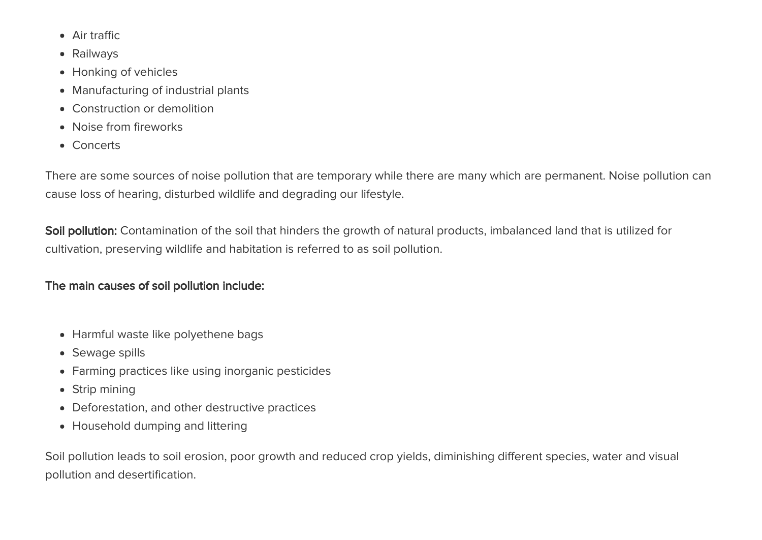- Air traffic
- Railways
- Honking of vehicles
- Manufacturing of industrial plants
- Construction or demolition
- Noise from fireworks
- Concerts

There are some sources of noise pollution that are temporary while there are many which are permanent. Noise pollution can cause loss of hearing, disturbed wildlife and degrading our lifestyle.

Soil pollution: Contamination of the soil that hinders the growth of natural products, imbalanced land that is utilized for cultivation, preserving wildlife and habitation is referred to as soil pollution.

## The main causes of soil pollution include:

- Harmful waste like polyethene bags
- Sewage spills
- Farming practices like using inorganic pesticides
- Strip mining
- Deforestation, and other destructive practices
- Household dumping and littering

Soil pollution leads to soil erosion, poor growth and reduced crop yields, diminishing different species, water and visual pollution and desertification.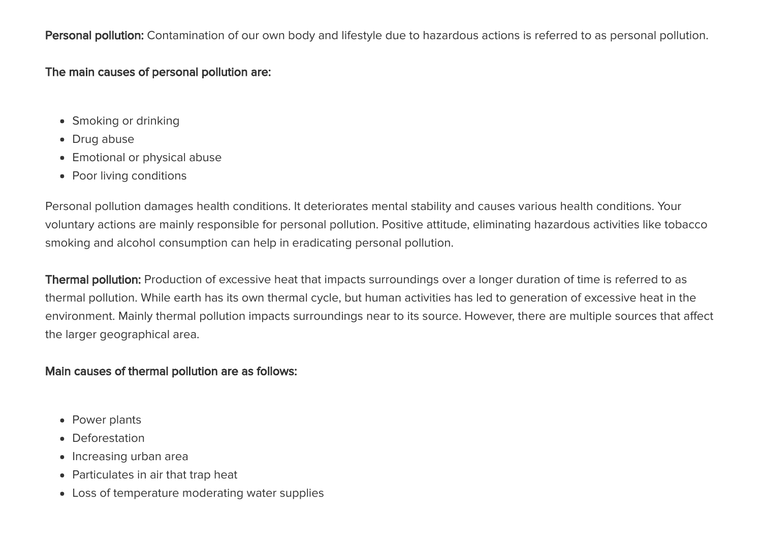Personal pollution: Contamination of our own body and lifestyle due to hazardous actions is referred to as personal pollution.

#### The main causes of personal pollution are:

- Smoking or drinking
- Drug abuse
- Emotional or physical abuse
- Poor living conditions

Personal pollution damages health conditions. It deteriorates mental stability and causes various health conditions. Your voluntary actions are mainly responsible for personal pollution. Positive attitude, eliminating hazardous activities like tobacco smoking and alcohol consumption can help in eradicating personal pollution.

Thermal pollution: Production of excessive heat that impacts surroundings over a longer duration of time is referred to as thermal pollution. While earth has its own thermal cycle, but human activities has led to generation of excessive heat in the environment. Mainly thermal pollution impacts surroundings near to its source. However, there are multiple sources that affect the larger geographical area.

#### Main causes of thermal pollution are as follows:

- Power plants
- Deforestation
- Increasing urban area
- Particulates in air that trap heat
- Loss of temperature moderating water supplies